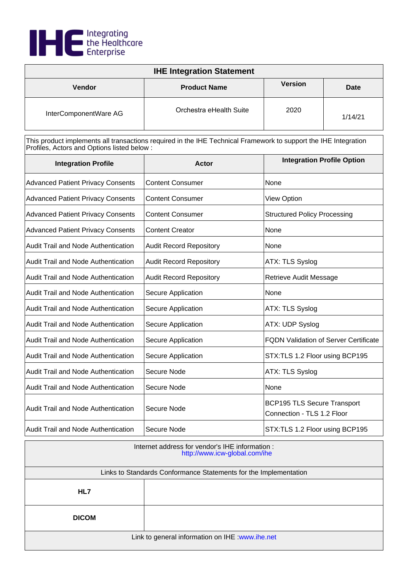

| <b>IHE Integration Statement</b> |                         |                |             |
|----------------------------------|-------------------------|----------------|-------------|
| <b>Vendor</b>                    | <b>Product Name</b>     | <b>Version</b> | <b>Date</b> |
| InterComponentWare AG            | Orchestra eHealth Suite | 2020           | 1/14/21     |

| <b>Integration Profile</b>                 | <b>Actor</b>                   | <b>Integration Profile Option</b>                                |
|--------------------------------------------|--------------------------------|------------------------------------------------------------------|
| <b>Advanced Patient Privacy Consents</b>   | <b>Content Consumer</b>        | None                                                             |
| <b>Advanced Patient Privacy Consents</b>   | <b>Content Consumer</b>        | <b>View Option</b>                                               |
| <b>Advanced Patient Privacy Consents</b>   | <b>Content Consumer</b>        | <b>Structured Policy Processing</b>                              |
| <b>Advanced Patient Privacy Consents</b>   | <b>Content Creator</b>         | None                                                             |
| Audit Trail and Node Authentication        | <b>Audit Record Repository</b> | None                                                             |
| <b>Audit Trail and Node Authentication</b> | <b>Audit Record Repository</b> | ATX: TLS Syslog                                                  |
| <b>Audit Trail and Node Authentication</b> | <b>Audit Record Repository</b> | Retrieve Audit Message                                           |
| <b>Audit Trail and Node Authentication</b> | Secure Application             | None                                                             |
| <b>Audit Trail and Node Authentication</b> | Secure Application             | ATX: TLS Syslog                                                  |
| Audit Trail and Node Authentication        | Secure Application             | ATX: UDP Syslog                                                  |
| Audit Trail and Node Authentication        | Secure Application             | <b>FQDN Validation of Server Certificate</b>                     |
| <b>Audit Trail and Node Authentication</b> | Secure Application             | STX:TLS 1.2 Floor using BCP195                                   |
| Audit Trail and Node Authentication        | Secure Node                    | ATX: TLS Syslog                                                  |
| Audit Trail and Node Authentication        | Secure Node                    | None                                                             |
| Audit Trail and Node Authentication        | Secure Node                    | <b>BCP195 TLS Secure Transport</b><br>Connection - TLS 1.2 Floor |
| Audit Trail and Node Authentication        | Secure Node                    | STX:TLS 1.2 Floor using BCP195                                   |

| Internet address for vendor's IHE information :<br>http://www.icw-global.com/ihe |  |
|----------------------------------------------------------------------------------|--|
| Links to Standards Conformance Statements for the Implementation                 |  |
| HL7                                                                              |  |
| <b>DICOM</b>                                                                     |  |
| Link to general information on IHE : www.ihe.net                                 |  |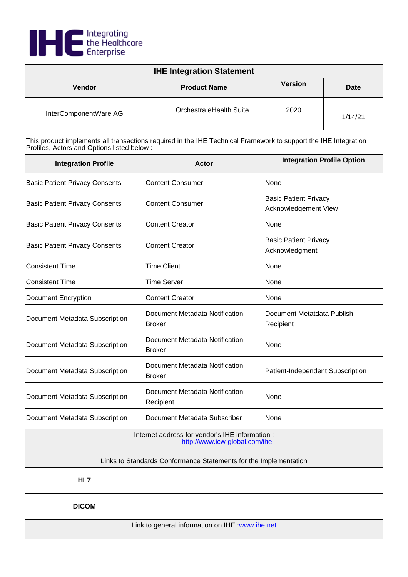

| <b>IHE Integration Statement</b> |                         |                |             |
|----------------------------------|-------------------------|----------------|-------------|
| <b>Vendor</b>                    | <b>Product Name</b>     | <b>Version</b> | <b>Date</b> |
| InterComponentWare AG            | Orchestra eHealth Suite | 2020           | 1/14/21     |

| <b>Integration Profile</b>            | Actor                                           | <b>Integration Profile Option</b>                    |
|---------------------------------------|-------------------------------------------------|------------------------------------------------------|
| <b>Basic Patient Privacy Consents</b> | <b>Content Consumer</b>                         | None                                                 |
| <b>Basic Patient Privacy Consents</b> | <b>Content Consumer</b>                         | <b>Basic Patient Privacy</b><br>Acknowledgement View |
| <b>Basic Patient Privacy Consents</b> | <b>Content Creator</b>                          | None                                                 |
| <b>Basic Patient Privacy Consents</b> | <b>Content Creator</b>                          | <b>Basic Patient Privacy</b><br>Acknowledgment       |
| <b>Consistent Time</b>                | <b>Time Client</b>                              | None                                                 |
| <b>Consistent Time</b>                | <b>Time Server</b>                              | None                                                 |
| <b>Document Encryption</b>            | <b>Content Creator</b>                          | None                                                 |
| Document Metadata Subscription        | Document Metadata Notification<br><b>Broker</b> | Document Metatdata Publish<br>Recipient              |
| Document Metadata Subscription        | Document Metadata Notification<br><b>Broker</b> | None                                                 |
| Document Metadata Subscription        | Document Metadata Notification<br><b>Broker</b> | Patient-Independent Subscription                     |
| Document Metadata Subscription        | Document Metadata Notification<br>Recipient     | None                                                 |
| Document Metadata Subscription        | Document Metadata Subscriber                    | None                                                 |

| Internet address for vendor's IHE information :<br>http://www.icw-global.com/ihe |  |  |
|----------------------------------------------------------------------------------|--|--|
| Links to Standards Conformance Statements for the Implementation                 |  |  |
| HL7                                                                              |  |  |
| <b>DICOM</b>                                                                     |  |  |
| Link to general information on IHE : www.ihe.net                                 |  |  |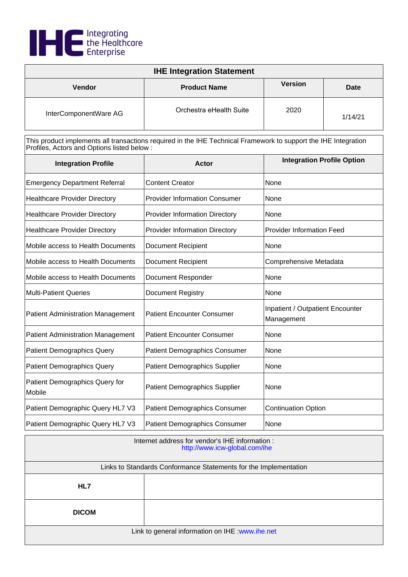

| <b>IHE Integration Statement</b> |                         |                |         |
|----------------------------------|-------------------------|----------------|---------|
| <b>Vendor</b>                    | <b>Product Name</b>     | <b>Version</b> | Date    |
| InterComponentWare AG            | Orchestra eHealth Suite | 2020           | 1/14/21 |

| <b>Integration Profile</b>               | <b>Actor</b>                          | <b>Integration Profile Option</b>              |
|------------------------------------------|---------------------------------------|------------------------------------------------|
| <b>Emergency Department Referral</b>     | <b>Content Creator</b>                | None                                           |
| <b>Healthcare Provider Directory</b>     | <b>Provider Information Consumer</b>  | None                                           |
| <b>Healthcare Provider Directory</b>     | <b>Provider Information Directory</b> | None                                           |
| <b>Healthcare Provider Directory</b>     | <b>Provider Information Directory</b> | <b>Provider Information Feed</b>               |
| Mobile access to Health Documents        | <b>Document Recipient</b>             | None                                           |
| Mobile access to Health Documents        | <b>Document Recipient</b>             | Comprehensive Metadata                         |
| Mobile access to Health Documents        | <b>Document Responder</b>             | None                                           |
| <b>Multi-Patient Queries</b>             | Document Registry                     | None                                           |
| <b>Patient Administration Management</b> | <b>Patient Encounter Consumer</b>     | Inpatient / Outpatient Encounter<br>Management |
| <b>Patient Administration Management</b> | <b>Patient Encounter Consumer</b>     | None                                           |
| Patient Demographics Query               | <b>Patient Demographics Consumer</b>  | None                                           |
| <b>Patient Demographics Query</b>        | <b>Patient Demographics Supplier</b>  | None                                           |
| Patient Demographics Query for<br>Mobile | <b>Patient Demographics Supplier</b>  | None                                           |
| Patient Demographic Query HL7 V3         | <b>Patient Demographics Consumer</b>  | <b>Continuation Option</b>                     |
| Patient Demographic Query HL7 V3         | <b>Patient Demographics Consumer</b>  | None                                           |

| Internet address for vendor's IHE information :<br>http://www.icw-global.com/ihe |  |
|----------------------------------------------------------------------------------|--|
| Links to Standards Conformance Statements for the Implementation                 |  |
| HL7                                                                              |  |
| <b>DICOM</b>                                                                     |  |
| Link to general information on IHE : www.ihe.net                                 |  |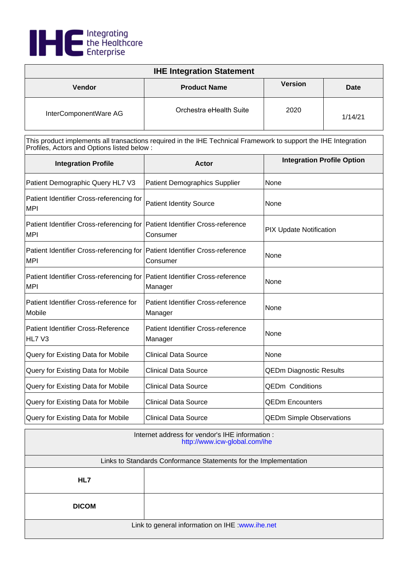

| <b>IHE Integration Statement</b> |                         |                |             |
|----------------------------------|-------------------------|----------------|-------------|
| <b>Vendor</b>                    | <b>Product Name</b>     | <b>Version</b> | <b>Date</b> |
| InterComponentWare AG            | Orchestra eHealth Suite | 2020           | 1/14/21     |

| <b>Integration Profile</b>                                                                | Actor                                                | <b>Integration Profile Option</b> |
|-------------------------------------------------------------------------------------------|------------------------------------------------------|-----------------------------------|
| Patient Demographic Query HL7 V3                                                          | <b>Patient Demographics Supplier</b>                 | None                              |
| Patient Identifier Cross-referencing for<br>MPI                                           | <b>Patient Identity Source</b>                       | None                              |
| Patient Identifier Cross-referencing for Patient Identifier Cross-reference<br>MPI        | Consumer                                             | <b>PIX Update Notification</b>    |
| Patient Identifier Cross-referencing for Patient Identifier Cross-reference<br><b>MPI</b> | Consumer                                             | None                              |
| Patient Identifier Cross-referencing for Patient Identifier Cross-reference<br><b>MPI</b> | Manager                                              | None                              |
| Patient Identifier Cross-reference for<br>Mobile                                          | Patient Identifier Cross-reference<br>Manager        | None                              |
| Patient Identifier Cross-Reference<br>HL7 V3                                              | <b>Patient Identifier Cross-reference</b><br>Manager | None                              |
| Query for Existing Data for Mobile                                                        | <b>Clinical Data Source</b>                          | None                              |
| Query for Existing Data for Mobile                                                        | <b>Clinical Data Source</b>                          | <b>QEDm Diagnostic Results</b>    |
| Query for Existing Data for Mobile                                                        | <b>Clinical Data Source</b>                          | <b>QEDm Conditions</b>            |
| Query for Existing Data for Mobile                                                        | <b>Clinical Data Source</b>                          | <b>QEDm Encounters</b>            |
| Query for Existing Data for Mobile                                                        | <b>Clinical Data Source</b>                          | <b>QEDm Simple Observations</b>   |

| Internet address for vendor's IHE information :<br>http://www.icw-global.com/ihe |  |
|----------------------------------------------------------------------------------|--|
| Links to Standards Conformance Statements for the Implementation                 |  |
| HL7                                                                              |  |
| <b>DICOM</b>                                                                     |  |
| Link to general information on IHE : www.ihe.net                                 |  |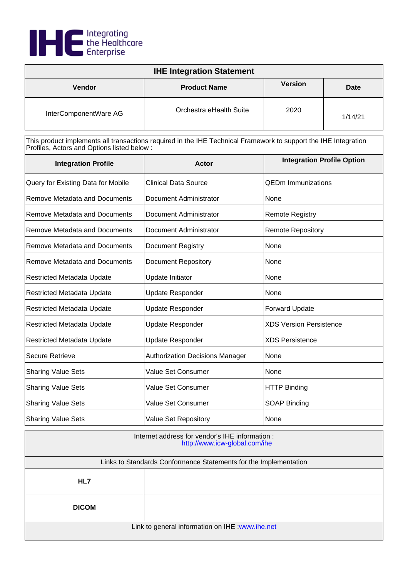

| <b>IHE Integration Statement</b> |                         |                |             |
|----------------------------------|-------------------------|----------------|-------------|
| <b>Vendor</b>                    | <b>Product Name</b>     | <b>Version</b> | <b>Date</b> |
| InterComponentWare AG            | Orchestra eHealth Suite | 2020           | 1/14/21     |

| <b>Integration Profile</b>           | Actor                                  | <b>Integration Profile Option</b> |
|--------------------------------------|----------------------------------------|-----------------------------------|
| Query for Existing Data for Mobile   | <b>Clinical Data Source</b>            | <b>QEDm Immunizations</b>         |
| <b>Remove Metadata and Documents</b> | Document Administrator                 | None                              |
| Remove Metadata and Documents        | Document Administrator                 | <b>Remote Registry</b>            |
| <b>Remove Metadata and Documents</b> | Document Administrator                 | <b>Remote Repository</b>          |
| <b>Remove Metadata and Documents</b> | <b>Document Registry</b>               | None                              |
| Remove Metadata and Documents        | <b>Document Repository</b>             | None                              |
| Restricted Metadata Update           | Update Initiator                       | None                              |
| Restricted Metadata Update           | <b>Update Responder</b>                | None                              |
| <b>Restricted Metadata Update</b>    | <b>Update Responder</b>                | <b>Forward Update</b>             |
| <b>Restricted Metadata Update</b>    | <b>Update Responder</b>                | <b>XDS Version Persistence</b>    |
| Restricted Metadata Update           | <b>Update Responder</b>                | <b>XDS Persistence</b>            |
| <b>Secure Retrieve</b>               | <b>Authorization Decisions Manager</b> | None                              |
| <b>Sharing Value Sets</b>            | Value Set Consumer                     | None                              |
| <b>Sharing Value Sets</b>            | <b>Value Set Consumer</b>              | <b>HTTP Binding</b>               |
| <b>Sharing Value Sets</b>            | <b>Value Set Consumer</b>              | <b>SOAP Binding</b>               |
| <b>Sharing Value Sets</b>            | <b>Value Set Repository</b>            | None                              |

| Internet address for vendor's IHE information :<br>http://www.icw-global.com/ihe |  |
|----------------------------------------------------------------------------------|--|
| Links to Standards Conformance Statements for the Implementation                 |  |
| HL7                                                                              |  |
| <b>DICOM</b>                                                                     |  |
| Link to general information on IHE : www.ihe.net                                 |  |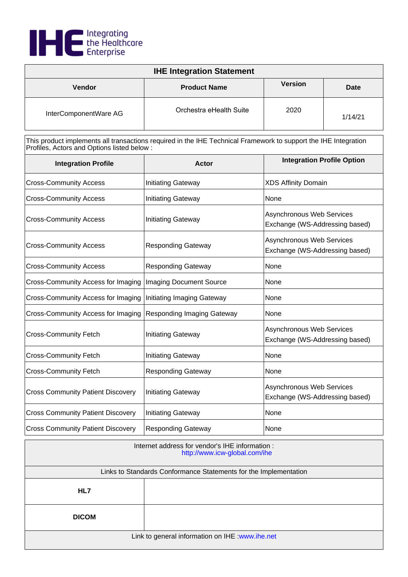

| <b>IHE Integration Statement</b> |                         |                |         |
|----------------------------------|-------------------------|----------------|---------|
| <b>Vendor</b>                    | <b>Product Name</b>     | <b>Version</b> | Date    |
| InterComponentWare AG            | Orchestra eHealth Suite | 2020           | 1/14/21 |

| <b>Integration Profile</b>                | <b>Actor</b>                      | <b>Integration Profile Option</b>                                  |
|-------------------------------------------|-----------------------------------|--------------------------------------------------------------------|
| <b>Cross-Community Access</b>             | <b>Initiating Gateway</b>         | <b>XDS Affinity Domain</b>                                         |
| <b>Cross-Community Access</b>             | <b>Initiating Gateway</b>         | None                                                               |
| <b>Cross-Community Access</b>             | <b>Initiating Gateway</b>         | Asynchronous Web Services<br>Exchange (WS-Addressing based)        |
| <b>Cross-Community Access</b>             | <b>Responding Gateway</b>         | Asynchronous Web Services<br>Exchange (WS-Addressing based)        |
| <b>Cross-Community Access</b>             | <b>Responding Gateway</b>         | None                                                               |
| <b>Cross-Community Access for Imaging</b> | <b>Imaging Document Source</b>    | None                                                               |
| Cross-Community Access for Imaging        | Initiating Imaging Gateway        | None                                                               |
| Cross-Community Access for Imaging        | <b>Responding Imaging Gateway</b> | None                                                               |
| <b>Cross-Community Fetch</b>              | <b>Initiating Gateway</b>         | Asynchronous Web Services<br>Exchange (WS-Addressing based)        |
| <b>Cross-Community Fetch</b>              | <b>Initiating Gateway</b>         | None                                                               |
| <b>Cross-Community Fetch</b>              | <b>Responding Gateway</b>         | None                                                               |
| <b>Cross Community Patient Discovery</b>  | <b>Initiating Gateway</b>         | <b>Asynchronous Web Services</b><br>Exchange (WS-Addressing based) |
| <b>Cross Community Patient Discovery</b>  | <b>Initiating Gateway</b>         | None                                                               |
| <b>Cross Community Patient Discovery</b>  | <b>Responding Gateway</b>         | None                                                               |

| Internet address for vendor's IHE information :<br>http://www.icw-global.com/ihe |  |
|----------------------------------------------------------------------------------|--|
| Links to Standards Conformance Statements for the Implementation                 |  |
| HL7                                                                              |  |
| <b>DICOM</b>                                                                     |  |
| Link to general information on IHE : www.ihe.net                                 |  |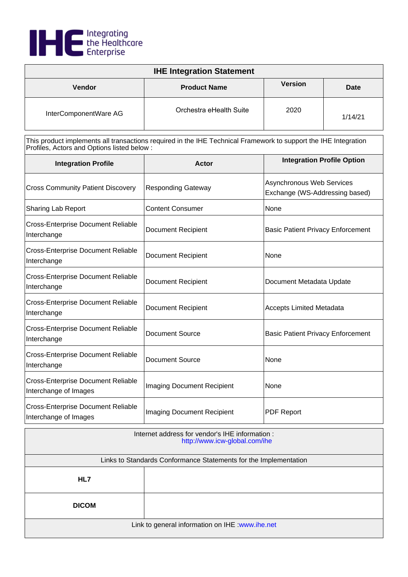

| <b>IHE Integration Statement</b> |                         |                |         |
|----------------------------------|-------------------------|----------------|---------|
| <b>Vendor</b>                    | <b>Product Name</b>     | <b>Version</b> | Date    |
| InterComponentWare AG            | Orchestra eHealth Suite | 2020           | 1/14/21 |

| <b>Integration Profile</b>                                         | Actor                             | <b>Integration Profile Option</b>                           |
|--------------------------------------------------------------------|-----------------------------------|-------------------------------------------------------------|
| <b>Cross Community Patient Discovery</b>                           | <b>Responding Gateway</b>         | Asynchronous Web Services<br>Exchange (WS-Addressing based) |
| Sharing Lab Report                                                 | <b>Content Consumer</b>           | None                                                        |
| <b>Cross-Enterprise Document Reliable</b><br>Interchange           | <b>Document Recipient</b>         | <b>Basic Patient Privacy Enforcement</b>                    |
| <b>Cross-Enterprise Document Reliable</b><br>Interchange           | <b>Document Recipient</b>         | None                                                        |
| <b>Cross-Enterprise Document Reliable</b><br>Interchange           | <b>Document Recipient</b>         | Document Metadata Update                                    |
| <b>Cross-Enterprise Document Reliable</b><br>Interchange           | <b>Document Recipient</b>         | <b>Accepts Limited Metadata</b>                             |
| <b>Cross-Enterprise Document Reliable</b><br>Interchange           | <b>Document Source</b>            | <b>Basic Patient Privacy Enforcement</b>                    |
| <b>Cross-Enterprise Document Reliable</b><br>Interchange           | <b>Document Source</b>            | None                                                        |
| <b>Cross-Enterprise Document Reliable</b><br>Interchange of Images | <b>Imaging Document Recipient</b> | None                                                        |
| <b>Cross-Enterprise Document Reliable</b><br>Interchange of Images | <b>Imaging Document Recipient</b> | <b>PDF Report</b>                                           |

| Internet address for vendor's IHE information :<br>http://www.icw-global.com/ihe |  |
|----------------------------------------------------------------------------------|--|
| Links to Standards Conformance Statements for the Implementation                 |  |
| HL7                                                                              |  |
| <b>DICOM</b>                                                                     |  |
| Link to general information on IHE : www.ihe.net                                 |  |

ı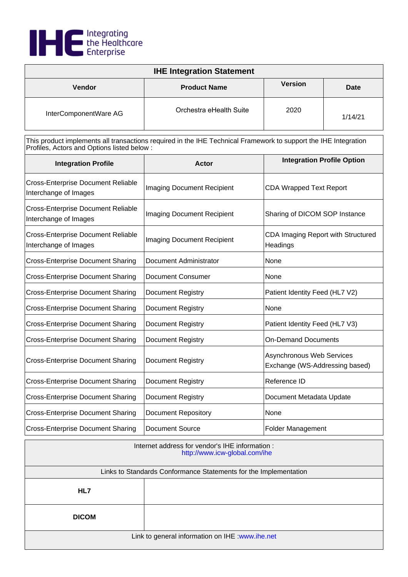

| <b>IHE Integration Statement</b> |                         |                |             |
|----------------------------------|-------------------------|----------------|-------------|
| <b>Vendor</b>                    | <b>Product Name</b>     | <b>Version</b> | <b>Date</b> |
| InterComponentWare AG            | Orchestra eHealth Suite | 2020           | 1/14/21     |

| <b>Integration Profile</b>                                         | <b>Actor</b>                      | <b>Integration Profile Option</b>                           |
|--------------------------------------------------------------------|-----------------------------------|-------------------------------------------------------------|
| <b>Cross-Enterprise Document Reliable</b><br>Interchange of Images | Imaging Document Recipient        | <b>CDA Wrapped Text Report</b>                              |
| <b>Cross-Enterprise Document Reliable</b><br>Interchange of Images | <b>Imaging Document Recipient</b> | Sharing of DICOM SOP Instance                               |
| <b>Cross-Enterprise Document Reliable</b><br>Interchange of Images | Imaging Document Recipient        | CDA Imaging Report with Structured<br>Headings              |
| <b>Cross-Enterprise Document Sharing</b>                           | Document Administrator            | None                                                        |
| <b>Cross-Enterprise Document Sharing</b>                           | Document Consumer                 | None                                                        |
| <b>Cross-Enterprise Document Sharing</b>                           | <b>Document Registry</b>          | Patient Identity Feed (HL7 V2)                              |
| <b>Cross-Enterprise Document Sharing</b>                           | <b>Document Registry</b>          | None                                                        |
| <b>Cross-Enterprise Document Sharing</b>                           | <b>Document Registry</b>          | Patient Identity Feed (HL7 V3)                              |
| <b>Cross-Enterprise Document Sharing</b>                           | Document Registry                 | <b>On-Demand Documents</b>                                  |
| <b>Cross-Enterprise Document Sharing</b>                           | <b>Document Registry</b>          | Asynchronous Web Services<br>Exchange (WS-Addressing based) |
| <b>Cross-Enterprise Document Sharing</b>                           | <b>Document Registry</b>          | Reference ID                                                |
| <b>Cross-Enterprise Document Sharing</b>                           | Document Registry                 | Document Metadata Update                                    |
| <b>Cross-Enterprise Document Sharing</b>                           | <b>Document Repository</b>        | None                                                        |
| <b>Cross-Enterprise Document Sharing</b>                           | <b>Document Source</b>            | Folder Management                                           |

| Internet address for vendor's IHE information :<br>http://www.icw-global.com/ihe |  |
|----------------------------------------------------------------------------------|--|
| Links to Standards Conformance Statements for the Implementation                 |  |
| HL7                                                                              |  |
| <b>DICOM</b>                                                                     |  |
| Link to general information on IHE : www.ihe.net                                 |  |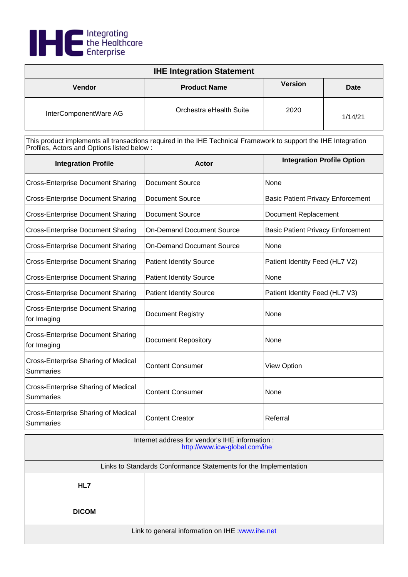

| <b>IHE Integration Statement</b> |                         |                |             |
|----------------------------------|-------------------------|----------------|-------------|
| Vendor                           | <b>Product Name</b>     | <b>Version</b> | <b>Date</b> |
| InterComponentWare AG            | Orchestra eHealth Suite | 2020           | 1/14/21     |

| <b>Integration Profile</b>                              | Actor                            | <b>Integration Profile Option</b>        |  |
|---------------------------------------------------------|----------------------------------|------------------------------------------|--|
| <b>Cross-Enterprise Document Sharing</b>                | Document Source                  | None                                     |  |
| <b>Cross-Enterprise Document Sharing</b>                | <b>Document Source</b>           | <b>Basic Patient Privacy Enforcement</b> |  |
| <b>Cross-Enterprise Document Sharing</b>                | <b>Document Source</b>           | Document Replacement                     |  |
| <b>Cross-Enterprise Document Sharing</b>                | <b>On-Demand Document Source</b> | <b>Basic Patient Privacy Enforcement</b> |  |
| <b>Cross-Enterprise Document Sharing</b>                | <b>On-Demand Document Source</b> | None                                     |  |
| <b>Cross-Enterprise Document Sharing</b>                | <b>Patient Identity Source</b>   | Patient Identity Feed (HL7 V2)           |  |
| <b>Cross-Enterprise Document Sharing</b>                | <b>Patient Identity Source</b>   | None                                     |  |
| <b>Cross-Enterprise Document Sharing</b>                | <b>Patient Identity Source</b>   | Patient Identity Feed (HL7 V3)           |  |
| <b>Cross-Enterprise Document Sharing</b><br>for Imaging | <b>Document Registry</b>         | None                                     |  |
| <b>Cross-Enterprise Document Sharing</b><br>for Imaging | <b>Document Repository</b>       | None                                     |  |
| Cross-Enterprise Sharing of Medical<br>Summaries        | <b>Content Consumer</b>          | <b>View Option</b>                       |  |
| Cross-Enterprise Sharing of Medical<br><b>Summaries</b> | <b>Content Consumer</b>          | None                                     |  |
| Cross-Enterprise Sharing of Medical<br>Summaries        | <b>Content Creator</b>           | Referral                                 |  |

| Internet address for vendor's IHE information :<br>http://www.icw-global.com/ihe |  |  |
|----------------------------------------------------------------------------------|--|--|
| Links to Standards Conformance Statements for the Implementation                 |  |  |
| HL7                                                                              |  |  |
| <b>DICOM</b>                                                                     |  |  |
| Link to general information on IHE : www.ihe.net                                 |  |  |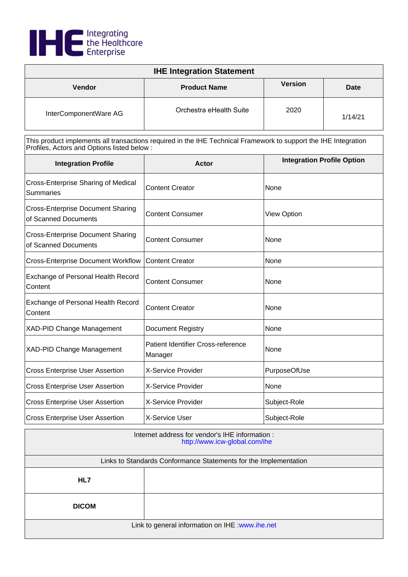

| <b>IHE Integration Statement</b> |                         |                |         |
|----------------------------------|-------------------------|----------------|---------|
| <b>Vendor</b>                    | <b>Product Name</b>     | <b>Version</b> | Date    |
| InterComponentWare AG            | Orchestra eHealth Suite | 2020           | 1/14/21 |

| <b>Integration Profile</b>                                       | Actor                                         | <b>Integration Profile Option</b> |
|------------------------------------------------------------------|-----------------------------------------------|-----------------------------------|
| Cross-Enterprise Sharing of Medical<br><b>Summaries</b>          | <b>Content Creator</b>                        | None                              |
| <b>Cross-Enterprise Document Sharing</b><br>of Scanned Documents | <b>Content Consumer</b>                       | <b>View Option</b>                |
| <b>Cross-Enterprise Document Sharing</b><br>of Scanned Documents | <b>Content Consumer</b>                       | None                              |
| <b>Cross-Enterprise Document Workflow</b>                        | <b>Content Creator</b>                        | None                              |
| Exchange of Personal Health Record<br>Content                    | <b>Content Consumer</b>                       | None                              |
| Exchange of Personal Health Record<br>Content                    | <b>Content Creator</b>                        | None                              |
| <b>XAD-PID Change Management</b>                                 | Document Registry                             | None                              |
| XAD-PID Change Management                                        | Patient Identifier Cross-reference<br>Manager | None                              |
| <b>Cross Enterprise User Assertion</b>                           | X-Service Provider                            | PurposeOfUse                      |
| <b>Cross Enterprise User Assertion</b>                           | X-Service Provider                            | None                              |
| <b>Cross Enterprise User Assertion</b>                           | X-Service Provider                            | Subject-Role                      |
| <b>Cross Enterprise User Assertion</b>                           | X-Service User                                | Subject-Role                      |

| Internet address for vendor's IHE information :<br>http://www.icw-global.com/ihe |  |  |
|----------------------------------------------------------------------------------|--|--|
| Links to Standards Conformance Statements for the Implementation                 |  |  |
| HL7                                                                              |  |  |
| <b>DICOM</b>                                                                     |  |  |
| Link to general information on IHE : www.ihe.net                                 |  |  |